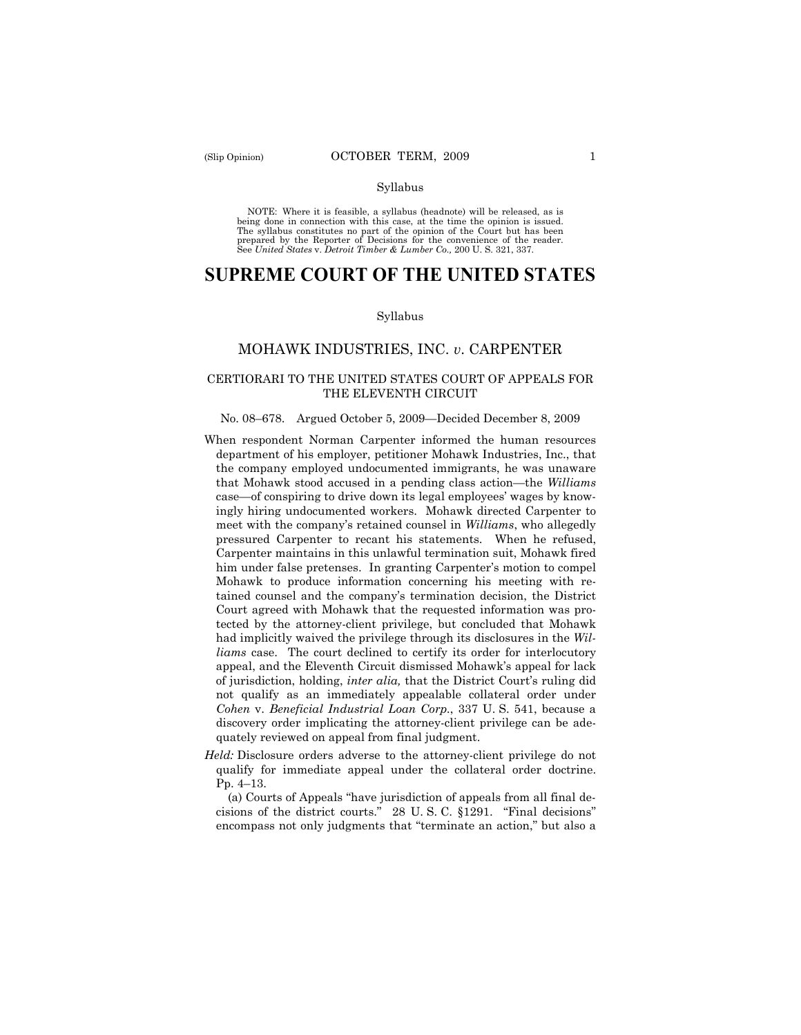#### Syllabus

NOTE: Where it is feasible, a syllabus (headnote) will be released, as is being done in connection with this case, at the time the opinion is issued. The syllabus constitutes no part of the opinion of the Court but has been<br>prepared by the Reporter of Decisions for the convenience of the reader.<br>See United States v. Detroit Timber & Lumber Co., 200 U. S. 321, 337.

# **SUPREME COURT OF THE UNITED STATES**

#### Syllabus

## MOHAWK INDUSTRIES, INC. *v*. CARPENTER

### CERTIORARI TO THE UNITED STATES COURT OF APPEALS FOR THE ELEVENTH CIRCUIT

#### No. 08–678. Argued October 5, 2009—Decided December 8, 2009

- When respondent Norman Carpenter informed the human resources department of his employer, petitioner Mohawk Industries, Inc., that the company employed undocumented immigrants, he was unaware that Mohawk stood accused in a pending class action—the *Williams*  case—of conspiring to drive down its legal employees' wages by knowingly hiring undocumented workers. Mohawk directed Carpenter to meet with the company's retained counsel in *Williams*, who allegedly pressured Carpenter to recant his statements. When he refused, Carpenter maintains in this unlawful termination suit, Mohawk fired him under false pretenses. In granting Carpenter's motion to compel Mohawk to produce information concerning his meeting with retained counsel and the company's termination decision, the District Court agreed with Mohawk that the requested information was protected by the attorney-client privilege, but concluded that Mohawk had implicitly waived the privilege through its disclosures in the *Williams* case. The court declined to certify its order for interlocutory appeal, and the Eleventh Circuit dismissed Mohawk's appeal for lack of jurisdiction, holding, *inter alia,* that the District Court's ruling did not qualify as an immediately appealable collateral order under *Cohen* v. *Beneficial Industrial Loan Corp.*, 337 U. S. 541, because a discovery order implicating the attorney-client privilege can be adequately reviewed on appeal from final judgment.
- *Held:* Disclosure orders adverse to the attorney-client privilege do not qualify for immediate appeal under the collateral order doctrine. Pp. 4–13.

(a) Courts of Appeals "have jurisdiction of appeals from all final decisions of the district courts." 28 U. S. C. §1291. "Final decisions" encompass not only judgments that "terminate an action," but also a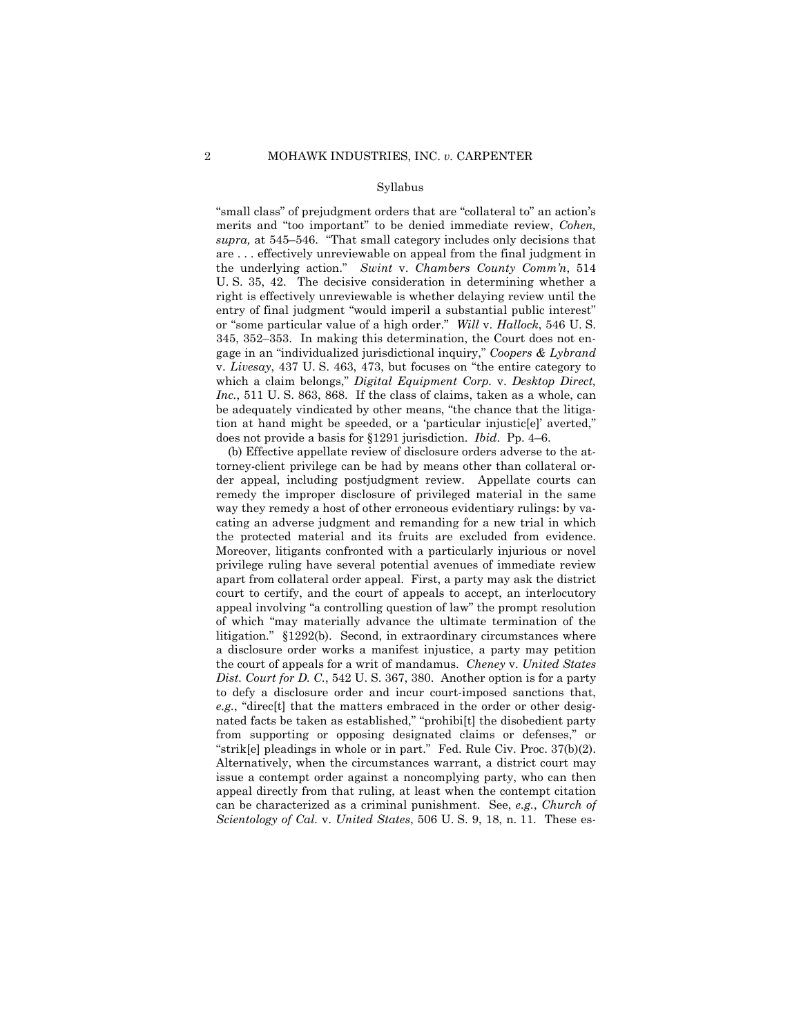#### Syllabus

"small class" of prejudgment orders that are "collateral to" an action's merits and "too important" to be denied immediate review, *Cohen, supra,* at 545–546. "That small category includes only decisions that are . . . effectively unreviewable on appeal from the final judgment in the underlying action." *Swint* v. *Chambers County Comm'n*, 514 U. S. 35, 42. The decisive consideration in determining whether a right is effectively unreviewable is whether delaying review until the entry of final judgment "would imperil a substantial public interest" or "some particular value of a high order." *Will* v. *Hallock*, 546 U. S. 345, 352–353. In making this determination, the Court does not engage in an "individualized jurisdictional inquiry," *Coopers & Lybrand*  v. *Livesay*, 437 U. S. 463, 473, but focuses on "the entire category to which a claim belongs," *Digital Equipment Corp.* v. *Desktop Direct, Inc.*, 511 U. S. 863, 868. If the class of claims, taken as a whole, can be adequately vindicated by other means, "the chance that the litigation at hand might be speeded, or a 'particular injustic[e]' averted," does not provide a basis for §1291 jurisdiction. *Ibid*. Pp. 4–6.

(b) Effective appellate review of disclosure orders adverse to the attorney-client privilege can be had by means other than collateral order appeal, including postjudgment review. Appellate courts can remedy the improper disclosure of privileged material in the same way they remedy a host of other erroneous evidentiary rulings: by vacating an adverse judgment and remanding for a new trial in which the protected material and its fruits are excluded from evidence. Moreover, litigants confronted with a particularly injurious or novel privilege ruling have several potential avenues of immediate review apart from collateral order appeal. First, a party may ask the district court to certify, and the court of appeals to accept, an interlocutory appeal involving "a controlling question of law" the prompt resolution of which "may materially advance the ultimate termination of the litigation." §1292(b). Second, in extraordinary circumstances where a disclosure order works a manifest injustice, a party may petition the court of appeals for a writ of mandamus. *Cheney* v. *United States Dist. Court for D. C.*, 542 U. S. 367, 380. Another option is for a party to defy a disclosure order and incur court-imposed sanctions that, *e.g.*, "direc[t] that the matters embraced in the order or other designated facts be taken as established," "prohibi[t] the disobedient party from supporting or opposing designated claims or defenses," or "strik[e] pleadings in whole or in part." Fed. Rule Civ. Proc. 37(b)(2). Alternatively, when the circumstances warrant, a district court may issue a contempt order against a noncomplying party, who can then appeal directly from that ruling, at least when the contempt citation can be characterized as a criminal punishment. See, *e.g.*, *Church of Scientology of Cal.* v. *United States*, 506 U. S. 9, 18, n. 11. These es-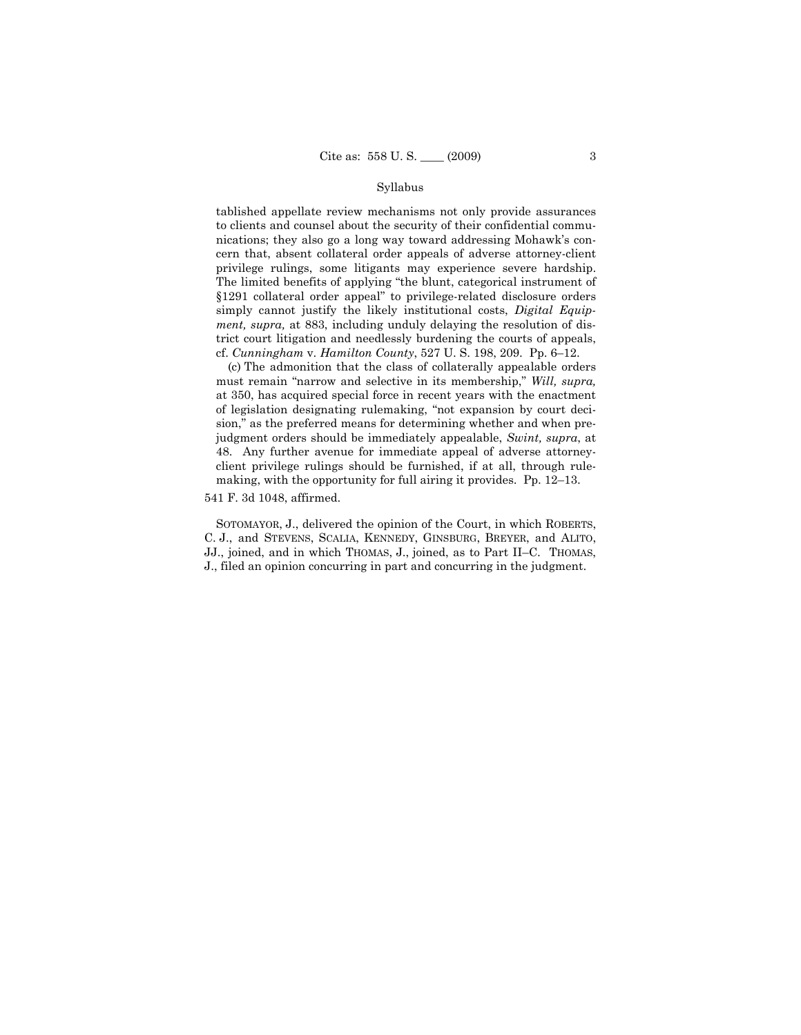### Syllabus

tablished appellate review mechanisms not only provide assurances to clients and counsel about the security of their confidential communications; they also go a long way toward addressing Mohawk's concern that, absent collateral order appeals of adverse attorney-client privilege rulings, some litigants may experience severe hardship. The limited benefits of applying "the blunt, categorical instrument of §1291 collateral order appeal" to privilege-related disclosure orders simply cannot justify the likely institutional costs, *Digital Equipment, supra,* at 883, including unduly delaying the resolution of district court litigation and needlessly burdening the courts of appeals, cf. *Cunningham* v. *Hamilton County*, 527 U. S. 198, 209. Pp. 6–12.

(c) The admonition that the class of collaterally appealable orders must remain "narrow and selective in its membership," *Will, supra,* at 350, has acquired special force in recent years with the enactment of legislation designating rulemaking, "not expansion by court decision," as the preferred means for determining whether and when prejudgment orders should be immediately appealable, *Swint, supra*, at 48. Any further avenue for immediate appeal of adverse attorneyclient privilege rulings should be furnished, if at all, through rulemaking, with the opportunity for full airing it provides. Pp. 12–13.

#### 541 F. 3d 1048, affirmed.

SOTOMAYOR, J., delivered the opinion of the Court, in which ROBERTS, C. J., and STEVENS, SCALIA, KENNEDY, GINSBURG, BREYER, and ALITO, JJ., joined, and in which THOMAS, J., joined, as to Part II–C. THOMAS, J., filed an opinion concurring in part and concurring in the judgment.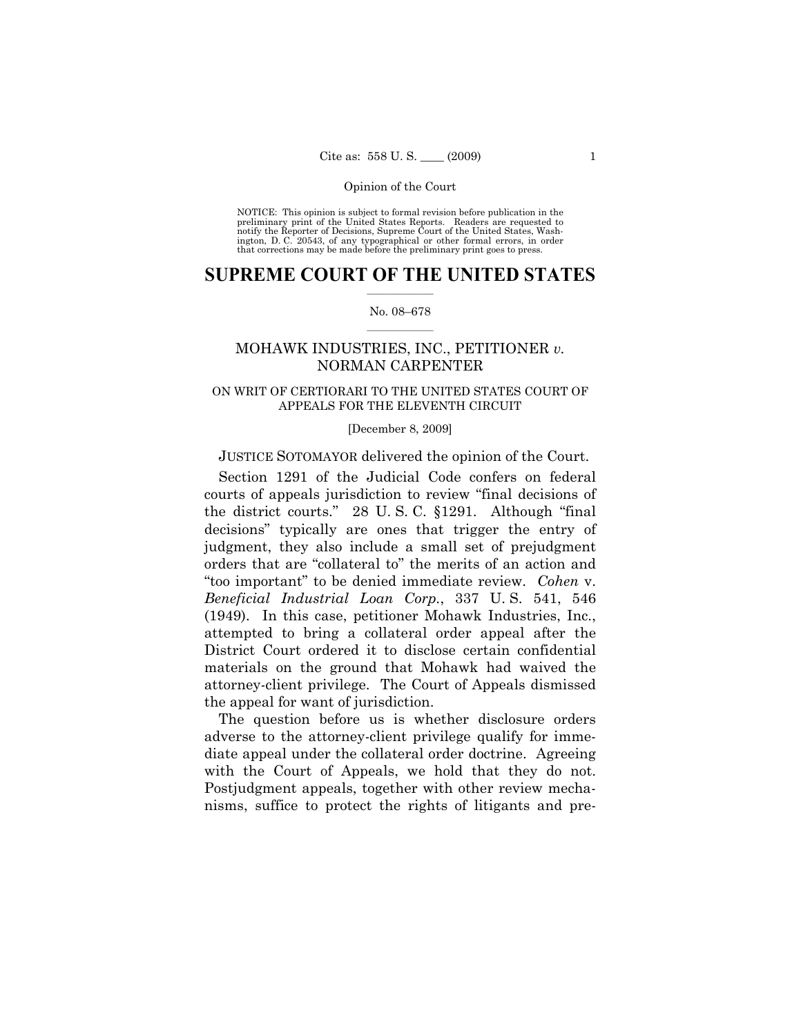NOTICE: This opinion is subject to formal revision before publication in the preliminary print of the United States Reports. Readers are requested to notify the Reporter of Decisions, Supreme Court of the United States, Washington, D. C. 20543, of any typographical or other formal errors, in order that corrections may be made before the preliminary print goes to press.

## $\frac{1}{2}$  , where  $\frac{1}{2}$ **SUPREME COURT OF THE UNITED STATES**

#### $\frac{1}{2}$  ,  $\frac{1}{2}$  ,  $\frac{1}{2}$  ,  $\frac{1}{2}$  ,  $\frac{1}{2}$  ,  $\frac{1}{2}$ No. 08–678

# MOHAWK INDUSTRIES, INC., PETITIONER *v.* NORMAN CARPENTER

## ON WRIT OF CERTIORARI TO THE UNITED STATES COURT OF APPEALS FOR THE ELEVENTH CIRCUIT

#### [December 8, 2009]

## JUSTICE SOTOMAYOR delivered the opinion of the Court.

Section 1291 of the Judicial Code confers on federal courts of appeals jurisdiction to review "final decisions of the district courts." 28 U. S. C. §1291. Although "final decisions" typically are ones that trigger the entry of judgment, they also include a small set of prejudgment orders that are "collateral to" the merits of an action and "too important" to be denied immediate review. *Cohen* v. *Beneficial Industrial Loan Corp.*, 337 U. S. 541, 546 (1949). In this case, petitioner Mohawk Industries, Inc., attempted to bring a collateral order appeal after the District Court ordered it to disclose certain confidential materials on the ground that Mohawk had waived the attorney-client privilege. The Court of Appeals dismissed the appeal for want of jurisdiction.

The question before us is whether disclosure orders adverse to the attorney-client privilege qualify for immediate appeal under the collateral order doctrine. Agreeing with the Court of Appeals, we hold that they do not. Postjudgment appeals, together with other review mechanisms, suffice to protect the rights of litigants and pre-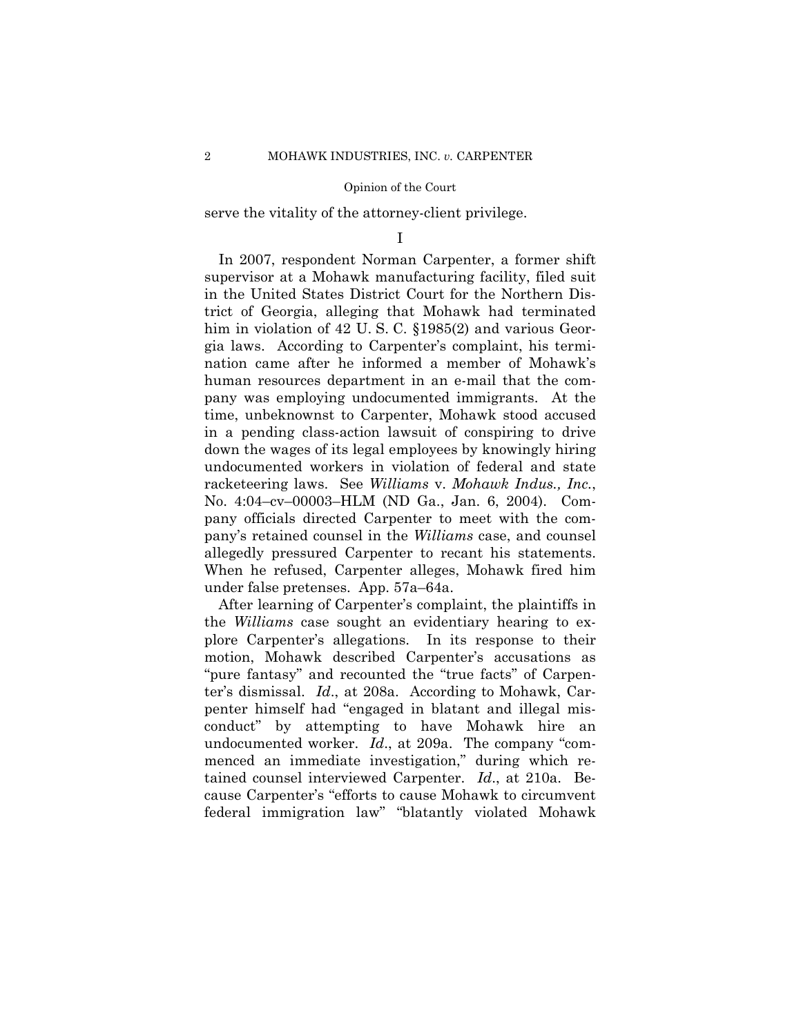serve the vitality of the attorney-client privilege.

I

In 2007, respondent Norman Carpenter, a former shift supervisor at a Mohawk manufacturing facility, filed suit in the United States District Court for the Northern District of Georgia, alleging that Mohawk had terminated him in violation of 42 U.S.C. §1985(2) and various Georgia laws. According to Carpenter's complaint, his termination came after he informed a member of Mohawk's human resources department in an e-mail that the company was employing undocumented immigrants. At the time, unbeknownst to Carpenter, Mohawk stood accused in a pending class-action lawsuit of conspiring to drive down the wages of its legal employees by knowingly hiring undocumented workers in violation of federal and state racketeering laws. See *Williams* v. *Mohawk Indus., Inc.*, No. 4:04–cv–00003–HLM (ND Ga., Jan. 6, 2004). Company officials directed Carpenter to meet with the company's retained counsel in the *Williams* case, and counsel allegedly pressured Carpenter to recant his statements. When he refused, Carpenter alleges, Mohawk fired him under false pretenses. App. 57a–64a.

After learning of Carpenter's complaint, the plaintiffs in the *Williams* case sought an evidentiary hearing to explore Carpenter's allegations. In its response to their motion, Mohawk described Carpenter's accusations as "pure fantasy" and recounted the "true facts" of Carpenter's dismissal. *Id*., at 208a. According to Mohawk, Carpenter himself had "engaged in blatant and illegal misconduct" by attempting to have Mohawk hire an undocumented worker. *Id*., at 209a. The company "commenced an immediate investigation," during which retained counsel interviewed Carpenter. *Id*., at 210a. Because Carpenter's "efforts to cause Mohawk to circumvent federal immigration law" "blatantly violated Mohawk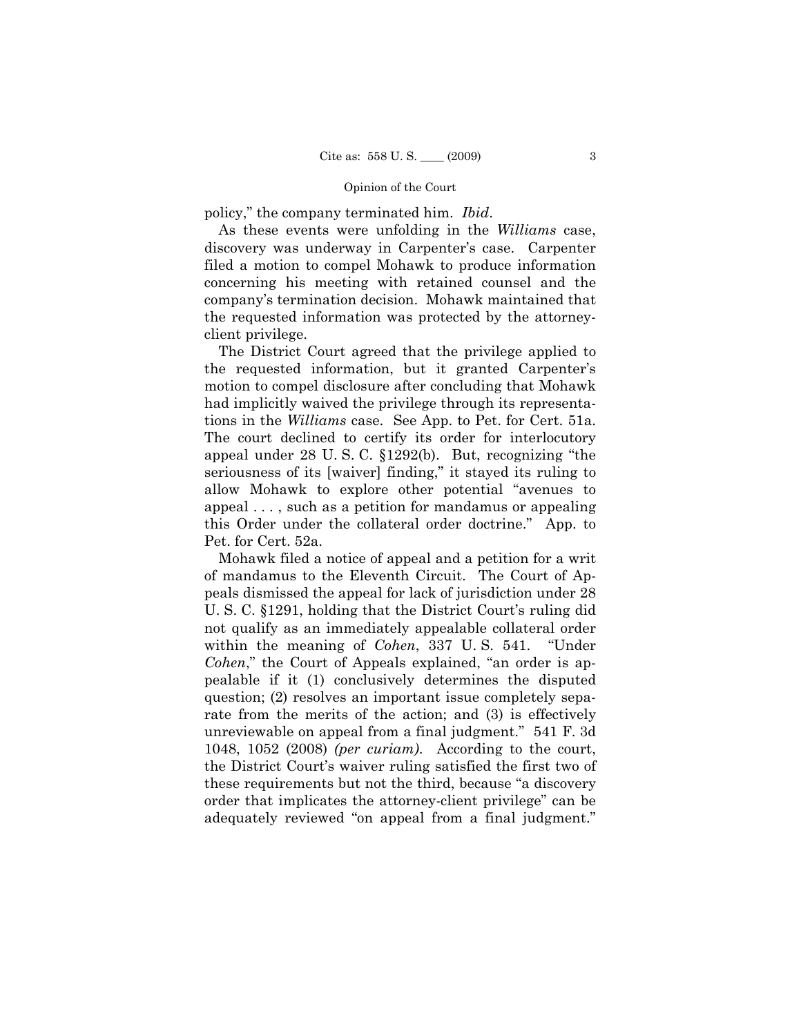policy," the company terminated him. *Ibid*.

As these events were unfolding in the *Williams* case, discovery was underway in Carpenter's case. Carpenter filed a motion to compel Mohawk to produce information concerning his meeting with retained counsel and the company's termination decision. Mohawk maintained that the requested information was protected by the attorneyclient privilege.

The District Court agreed that the privilege applied to the requested information, but it granted Carpenter's motion to compel disclosure after concluding that Mohawk had implicitly waived the privilege through its representations in the *Williams* case. See App. to Pet. for Cert. 51a. The court declined to certify its order for interlocutory appeal under 28 U. S. C. §1292(b). But, recognizing "the seriousness of its [waiver] finding," it stayed its ruling to allow Mohawk to explore other potential "avenues to appeal . . . , such as a petition for mandamus or appealing this Order under the collateral order doctrine." App. to Pet. for Cert. 52a.

Mohawk filed a notice of appeal and a petition for a writ of mandamus to the Eleventh Circuit. The Court of Appeals dismissed the appeal for lack of jurisdiction under 28 U. S. C. §1291, holding that the District Court's ruling did not qualify as an immediately appealable collateral order within the meaning of *Cohen*, 337 U. S. 541. "Under *Cohen*," the Court of Appeals explained, "an order is appealable if it (1) conclusively determines the disputed question; (2) resolves an important issue completely separate from the merits of the action; and (3) is effectively unreviewable on appeal from a final judgment." 541 F. 3d 1048, 1052 (2008) *(per curiam)*. According to the court, the District Court's waiver ruling satisfied the first two of these requirements but not the third, because "a discovery order that implicates the attorney-client privilege" can be adequately reviewed "on appeal from a final judgment."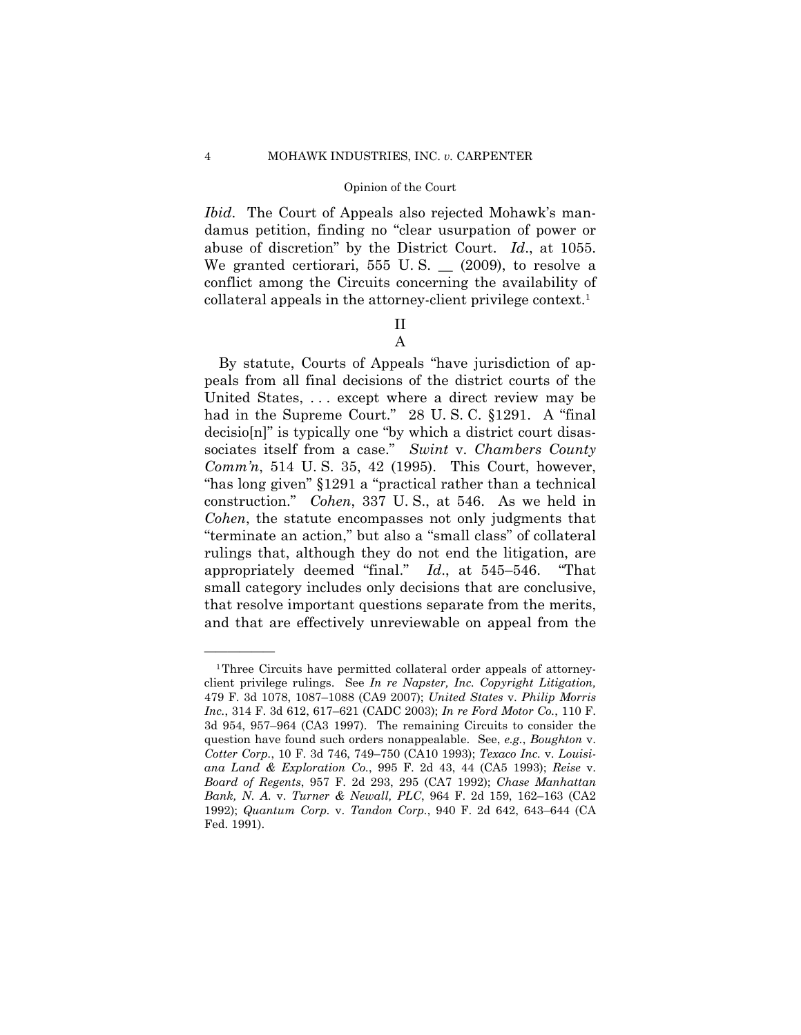*Ibid*. The Court of Appeals also rejected Mohawk's mandamus petition, finding no "clear usurpation of power or abuse of discretion" by the District Court. *Id*., at 1055. We granted certiorari, 555 U.S. (2009), to resolve a conflict among the Circuits concerning the availability of collateral appeals in the attorney-client privilege context.<sup>1</sup>

## II A

By statute, Courts of Appeals "have jurisdiction of appeals from all final decisions of the district courts of the United States, . . . except where a direct review may be had in the Supreme Court." 28 U. S. C. §1291. A "final decisio[n]" is typically one "by which a district court disassociates itself from a case." *Swint* v. *Chambers County Comm'n*, 514 U. S. 35, 42 (1995). This Court, however, "has long given" §1291 a "practical rather than a technical construction." *Cohen*, 337 U. S., at 546. As we held in *Cohen*, the statute encompasses not only judgments that "terminate an action," but also a "small class" of collateral rulings that, although they do not end the litigation, are appropriately deemed "final." *Id*., at 545–546. "That small category includes only decisions that are conclusive, that resolve important questions separate from the merits, and that are effectively unreviewable on appeal from the

<sup>1</sup>Three Circuits have permitted collateral order appeals of attorneyclient privilege rulings. See *In re Napster, Inc. Copyright Litigation,* 479 F. 3d 1078, 1087–1088 (CA9 2007); *United States* v. *Philip Morris Inc.*, 314 F. 3d 612, 617–621 (CADC 2003); *In re Ford Motor Co.*, 110 F. 3d 954, 957–964 (CA3 1997). The remaining Circuits to consider the question have found such orders nonappealable. See, *e.g.*, *Boughton* v. *Cotter Corp.*, 10 F. 3d 746, 749–750 (CA10 1993); *Texaco Inc.* v. *Louisiana Land & Exploration Co.*, 995 F. 2d 43, 44 (CA5 1993); *Reise* v. *Board of Regents*, 957 F. 2d 293, 295 (CA7 1992); *Chase Manhattan Bank, N. A.* v. *Turner & Newall, PLC*, 964 F. 2d 159, 162–163 (CA2 1992); *Quantum Corp.* v. *Tandon Corp.*, 940 F. 2d 642, 643–644 (CA Fed. 1991).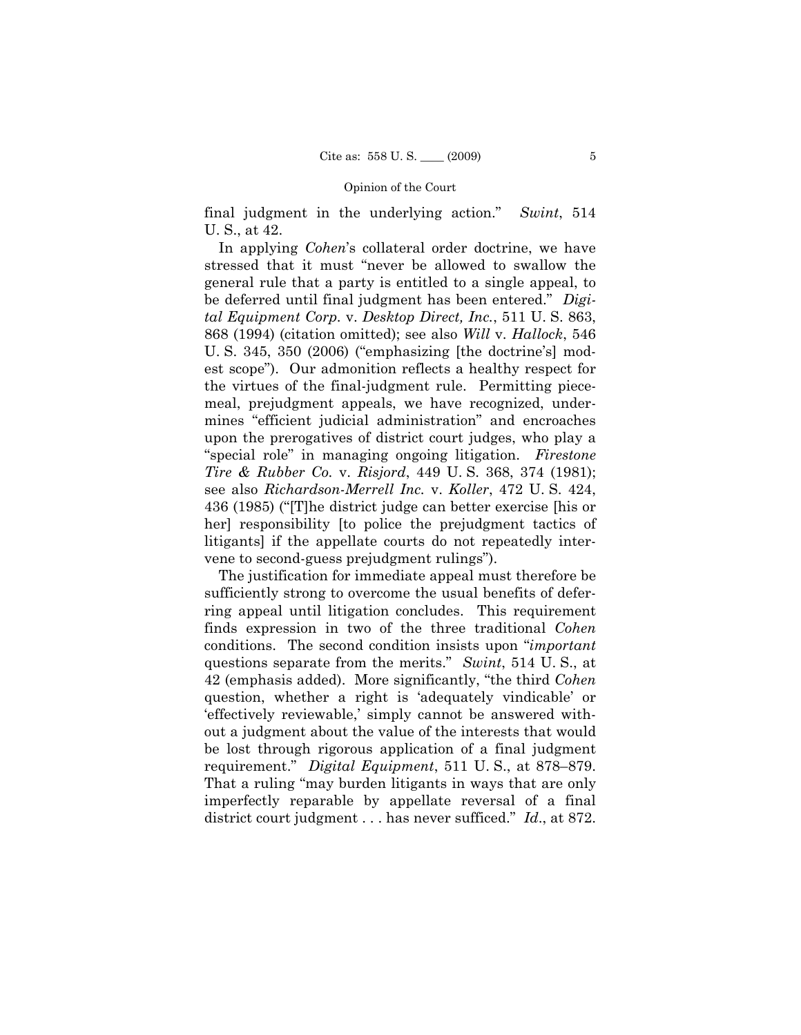final judgment in the underlying action." *Swint*, 514 U. S., at 42.

 In applying *Cohen*'s collateral order doctrine, we have stressed that it must "never be allowed to swallow the general rule that a party is entitled to a single appeal, to be deferred until final judgment has been entered." *Digital Equipment Corp.* v. *Desktop Direct, Inc.*, 511 U. S. 863, 868 (1994) (citation omitted); see also *Will* v. *Hallock*, 546 U. S. 345, 350 (2006) ("emphasizing [the doctrine's] modest scope"). Our admonition reflects a healthy respect for the virtues of the final-judgment rule. Permitting piecemeal, prejudgment appeals, we have recognized, undermines "efficient judicial administration" and encroaches upon the prerogatives of district court judges, who play a "special role" in managing ongoing litigation. *Firestone Tire & Rubber Co.* v. *Risjord*, 449 U. S. 368, 374 (1981); see also *Richardson-Merrell Inc.* v. *Koller*, 472 U. S. 424, 436 (1985) ("[T]he district judge can better exercise [his or her] responsibility [to police the prejudgment tactics of litigants] if the appellate courts do not repeatedly intervene to second-guess prejudgment rulings").

The justification for immediate appeal must therefore be sufficiently strong to overcome the usual benefits of deferring appeal until litigation concludes. This requirement finds expression in two of the three traditional *Cohen*  conditions. The second condition insists upon "*important*  questions separate from the merits." *Swint*, 514 U. S., at 42 (emphasis added). More significantly, "the third *Cohen*  question, whether a right is 'adequately vindicable' or 'effectively reviewable,' simply cannot be answered without a judgment about the value of the interests that would be lost through rigorous application of a final judgment requirement." *Digital Equipment*, 511 U. S., at 878–879. That a ruling "may burden litigants in ways that are only imperfectly reparable by appellate reversal of a final district court judgment . . . has never sufficed." *Id*., at 872.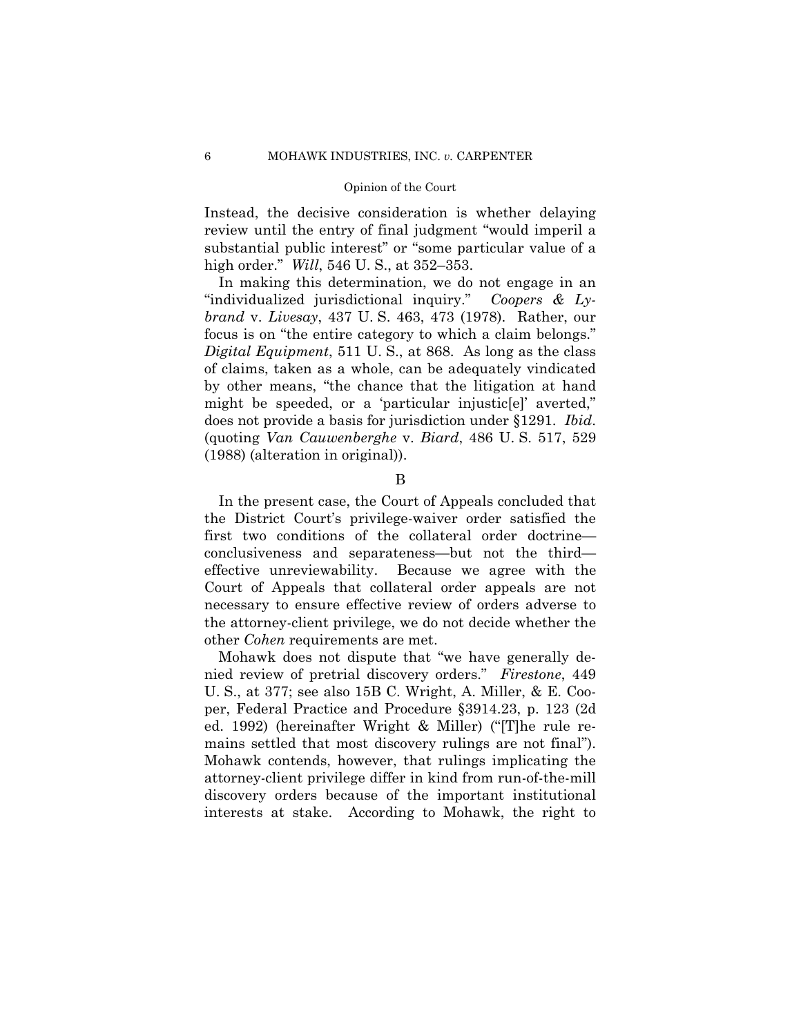Instead, the decisive consideration is whether delaying review until the entry of final judgment "would imperil a substantial public interest" or "some particular value of a high order." *Will*, 546 U. S., at 352–353.

In making this determination, we do not engage in an "individualized jurisdictional inquiry." *Coopers & Lybrand* v. *Livesay*, 437 U. S. 463, 473 (1978). Rather, our focus is on "the entire category to which a claim belongs." *Digital Equipment*, 511 U. S., at 868. As long as the class of claims, taken as a whole, can be adequately vindicated by other means, "the chance that the litigation at hand might be speeded, or a 'particular injustic[e]' averted," does not provide a basis for jurisdiction under §1291. *Ibid*. (quoting *Van Cauwenberghe* v. *Biard*, 486 U. S. 517, 529 (1988) (alteration in original)).

B

In the present case, the Court of Appeals concluded that the District Court's privilege-waiver order satisfied the first two conditions of the collateral order doctrine conclusiveness and separateness—but not the third effective unreviewability. Because we agree with the Court of Appeals that collateral order appeals are not necessary to ensure effective review of orders adverse to the attorney-client privilege, we do not decide whether the other *Cohen* requirements are met.

Mohawk does not dispute that "we have generally denied review of pretrial discovery orders." *Firestone*, 449 U. S., at 377; see also 15B C. Wright, A. Miller, & E. Cooper, Federal Practice and Procedure §3914.23, p. 123 (2d ed. 1992) (hereinafter Wright & Miller) ("[T]he rule remains settled that most discovery rulings are not final"). Mohawk contends, however, that rulings implicating the attorney-client privilege differ in kind from run-of-the-mill discovery orders because of the important institutional interests at stake. According to Mohawk, the right to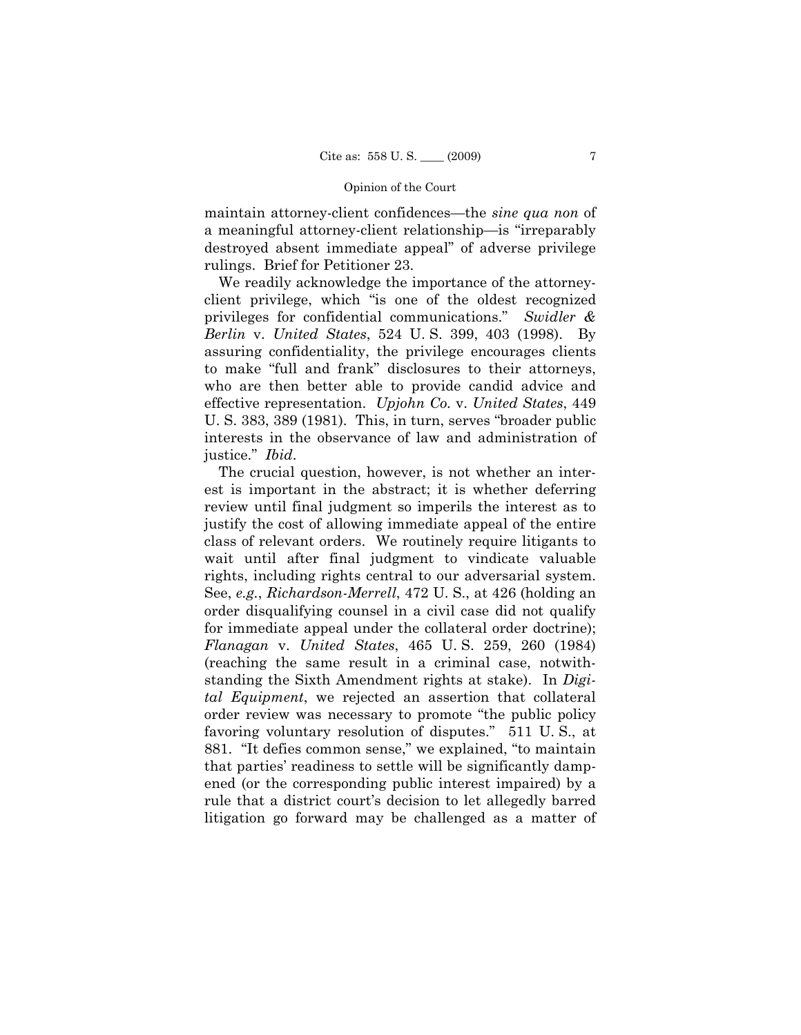maintain attorney-client confidences—the *sine qua non* of a meaningful attorney-client relationship—is "irreparably destroyed absent immediate appeal" of adverse privilege rulings. Brief for Petitioner 23.

We readily acknowledge the importance of the attorneyclient privilege, which "is one of the oldest recognized privileges for confidential communications." *Swidler & Berlin* v. *United States*, 524 U. S. 399, 403 (1998). By assuring confidentiality, the privilege encourages clients to make "full and frank" disclosures to their attorneys, who are then better able to provide candid advice and effective representation. *Upjohn Co.* v. *United States*, 449 U. S. 383, 389 (1981). This, in turn, serves "broader public interests in the observance of law and administration of justice." *Ibid*.

The crucial question, however, is not whether an interest is important in the abstract; it is whether deferring review until final judgment so imperils the interest as to justify the cost of allowing immediate appeal of the entire class of relevant orders. We routinely require litigants to wait until after final judgment to vindicate valuable rights, including rights central to our adversarial system. See, *e.g.*, *Richardson-Merrell*, 472 U. S., at 426 (holding an order disqualifying counsel in a civil case did not qualify for immediate appeal under the collateral order doctrine); *Flanagan* v. *United States*, 465 U. S. 259, 260 (1984) (reaching the same result in a criminal case, notwithstanding the Sixth Amendment rights at stake). In *Digital Equipment*, we rejected an assertion that collateral order review was necessary to promote "the public policy favoring voluntary resolution of disputes." 511 U. S., at 881. "It defies common sense," we explained, "to maintain that parties' readiness to settle will be significantly dampened (or the corresponding public interest impaired) by a rule that a district court's decision to let allegedly barred litigation go forward may be challenged as a matter of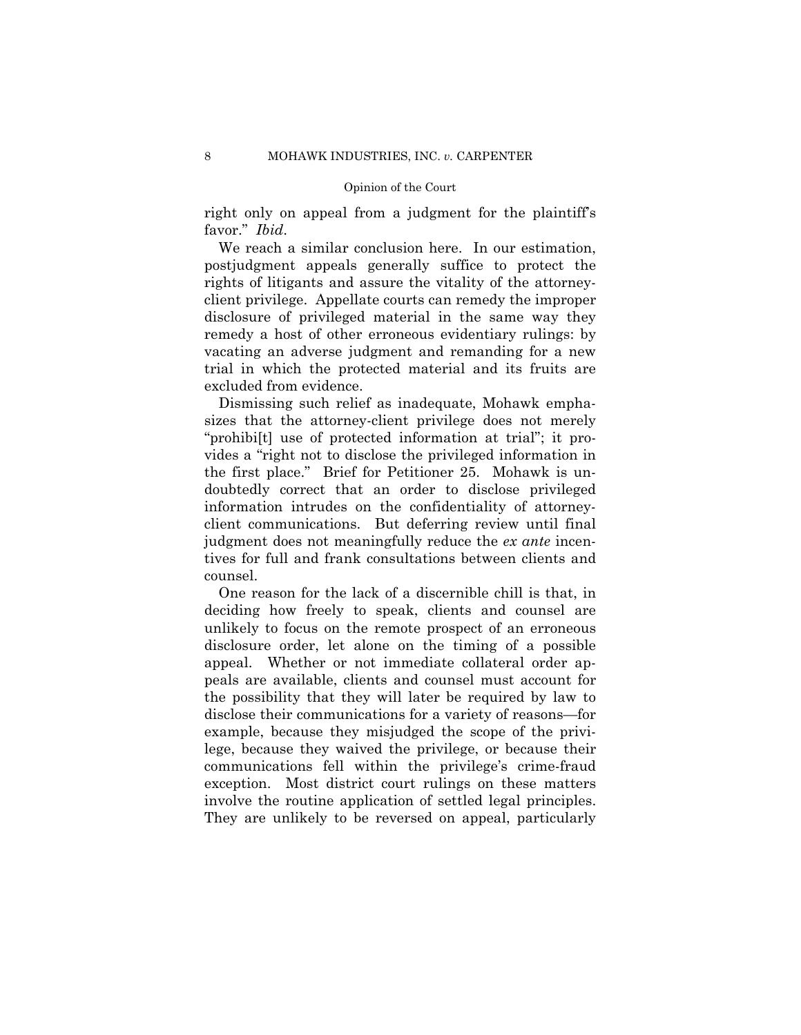right only on appeal from a judgment for the plaintiff's favor." *Ibid*.

We reach a similar conclusion here. In our estimation, postjudgment appeals generally suffice to protect the rights of litigants and assure the vitality of the attorneyclient privilege. Appellate courts can remedy the improper disclosure of privileged material in the same way they remedy a host of other erroneous evidentiary rulings: by vacating an adverse judgment and remanding for a new trial in which the protected material and its fruits are excluded from evidence.

Dismissing such relief as inadequate, Mohawk emphasizes that the attorney-client privilege does not merely "prohibi[t] use of protected information at trial"; it provides a "right not to disclose the privileged information in the first place." Brief for Petitioner 25. Mohawk is undoubtedly correct that an order to disclose privileged information intrudes on the confidentiality of attorneyclient communications. But deferring review until final judgment does not meaningfully reduce the *ex ante* incentives for full and frank consultations between clients and counsel.

One reason for the lack of a discernible chill is that, in deciding how freely to speak, clients and counsel are unlikely to focus on the remote prospect of an erroneous disclosure order, let alone on the timing of a possible appeal. Whether or not immediate collateral order appeals are available, clients and counsel must account for the possibility that they will later be required by law to disclose their communications for a variety of reasons—for example, because they misjudged the scope of the privilege, because they waived the privilege, or because their communications fell within the privilege's crime-fraud exception. Most district court rulings on these matters involve the routine application of settled legal principles. They are unlikely to be reversed on appeal, particularly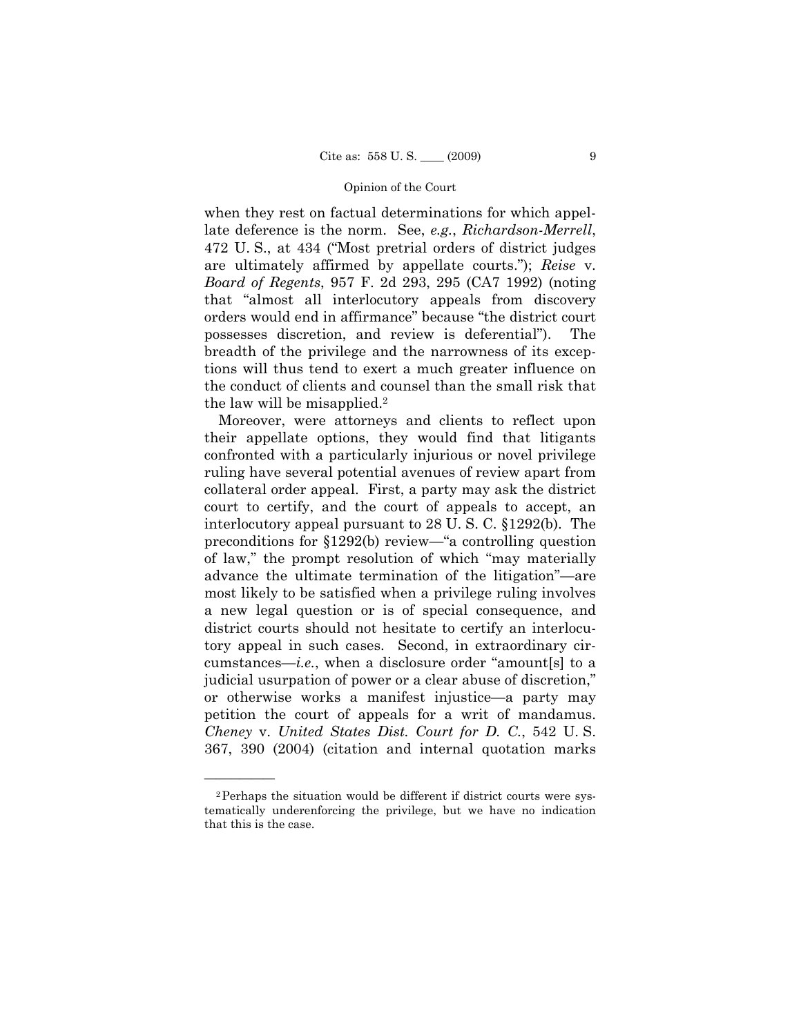when they rest on factual determinations for which appellate deference is the norm. See, *e.g.*, *Richardson-Merrell*, 472 U. S., at 434 ("Most pretrial orders of district judges are ultimately affirmed by appellate courts."); *Reise* v. *Board of Regents*, 957 F. 2d 293, 295 (CA7 1992) (noting that "almost all interlocutory appeals from discovery orders would end in affirmance" because "the district court possesses discretion, and review is deferential"). The breadth of the privilege and the narrowness of its exceptions will thus tend to exert a much greater influence on the conduct of clients and counsel than the small risk that the law will be misapplied.2

Moreover, were attorneys and clients to reflect upon their appellate options, they would find that litigants confronted with a particularly injurious or novel privilege ruling have several potential avenues of review apart from collateral order appeal. First, a party may ask the district court to certify, and the court of appeals to accept, an interlocutory appeal pursuant to 28 U. S. C. §1292(b). The preconditions for §1292(b) review—"a controlling question of law," the prompt resolution of which "may materially advance the ultimate termination of the litigation"—are most likely to be satisfied when a privilege ruling involves a new legal question or is of special consequence, and district courts should not hesitate to certify an interlocutory appeal in such cases. Second, in extraordinary circumstances—*i.e.*, when a disclosure order "amount[s] to a judicial usurpation of power or a clear abuse of discretion," or otherwise works a manifest injustice—a party may petition the court of appeals for a writ of mandamus. *Cheney* v. *United States Dist. Court for D. C.*, 542 U. S. 367, 390 (2004) (citation and internal quotation marks

<sup>2</sup>Perhaps the situation would be different if district courts were systematically underenforcing the privilege, but we have no indication that this is the case.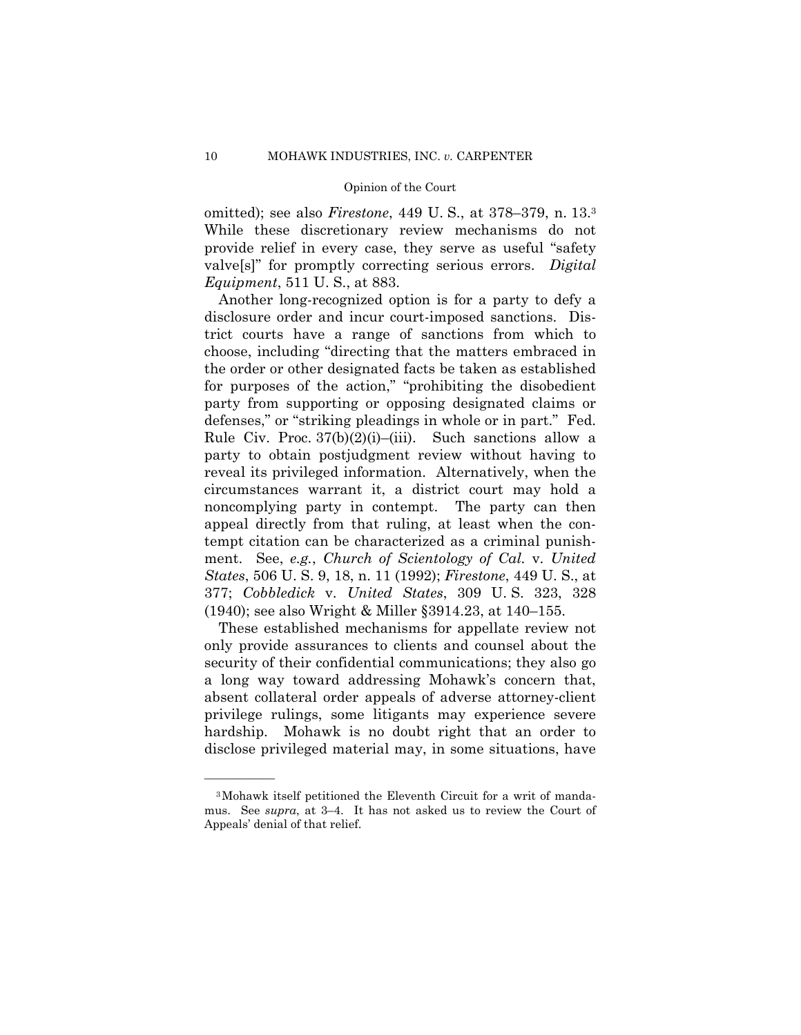omitted); see also *Firestone*, 449 U. S., at 378–379, n. 13.3 While these discretionary review mechanisms do not provide relief in every case, they serve as useful "safety valve[s]" for promptly correcting serious errors. *Digital Equipment*, 511 U. S., at 883.

Another long-recognized option is for a party to defy a disclosure order and incur court-imposed sanctions. District courts have a range of sanctions from which to choose, including "directing that the matters embraced in the order or other designated facts be taken as established for purposes of the action," "prohibiting the disobedient party from supporting or opposing designated claims or defenses," or "striking pleadings in whole or in part." Fed. Rule Civ. Proc.  $37(b)(2)(i)$ –(iii). Such sanctions allow a party to obtain postjudgment review without having to reveal its privileged information. Alternatively, when the circumstances warrant it, a district court may hold a noncomplying party in contempt. The party can then appeal directly from that ruling, at least when the contempt citation can be characterized as a criminal punishment. See, *e.g.*, *Church of Scientology of Cal.* v. *United States*, 506 U. S. 9, 18, n. 11 (1992); *Firestone*, 449 U. S., at 377; *Cobbledick* v. *United States*, 309 U. S. 323, 328 (1940); see also Wright & Miller §3914.23, at 140–155.

These established mechanisms for appellate review not only provide assurances to clients and counsel about the security of their confidential communications; they also go a long way toward addressing Mohawk's concern that, absent collateral order appeals of adverse attorney-client privilege rulings, some litigants may experience severe hardship. Mohawk is no doubt right that an order to disclose privileged material may, in some situations, have

<sup>3</sup>Mohawk itself petitioned the Eleventh Circuit for a writ of mandamus. See *supra*, at 3–4. It has not asked us to review the Court of Appeals' denial of that relief.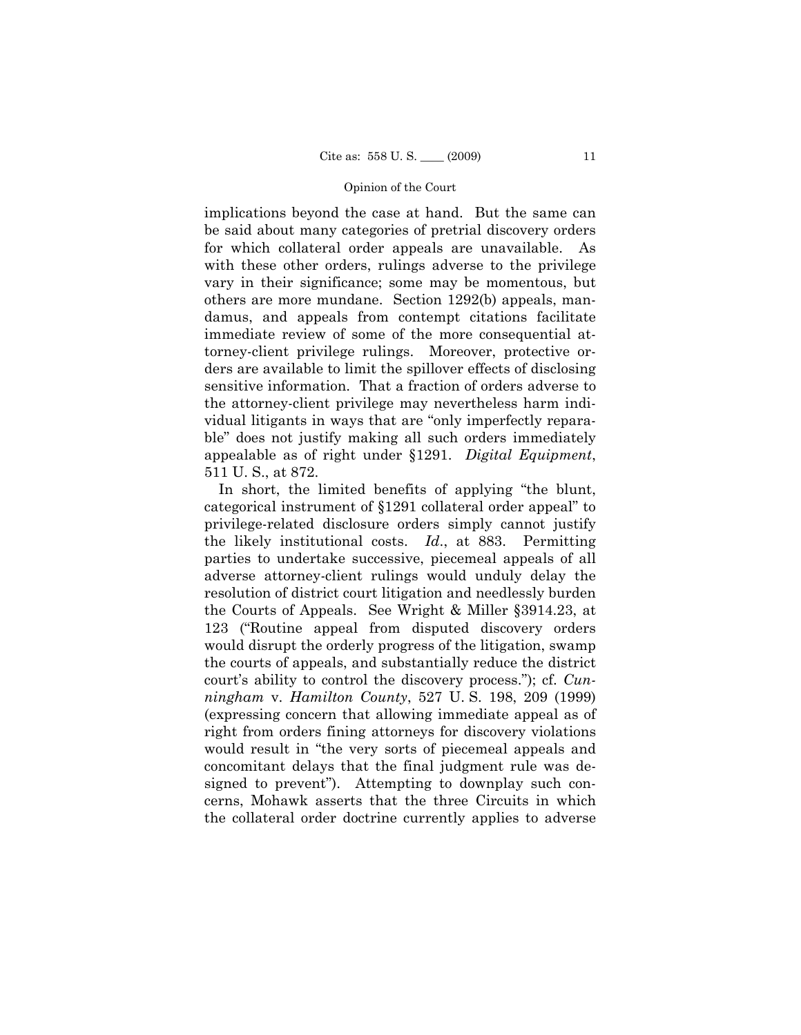implications beyond the case at hand. But the same can be said about many categories of pretrial discovery orders for which collateral order appeals are unavailable. As with these other orders, rulings adverse to the privilege vary in their significance; some may be momentous, but others are more mundane. Section 1292(b) appeals, mandamus, and appeals from contempt citations facilitate immediate review of some of the more consequential attorney-client privilege rulings. Moreover, protective orders are available to limit the spillover effects of disclosing sensitive information. That a fraction of orders adverse to the attorney-client privilege may nevertheless harm individual litigants in ways that are "only imperfectly reparable" does not justify making all such orders immediately appealable as of right under §1291. *Digital Equipment*, 511 U. S., at 872.

In short, the limited benefits of applying "the blunt, categorical instrument of §1291 collateral order appeal" to privilege-related disclosure orders simply cannot justify the likely institutional costs. *Id*., at 883. Permitting parties to undertake successive, piecemeal appeals of all adverse attorney-client rulings would unduly delay the resolution of district court litigation and needlessly burden the Courts of Appeals. See Wright & Miller §3914.23, at 123 ("Routine appeal from disputed discovery orders would disrupt the orderly progress of the litigation, swamp the courts of appeals, and substantially reduce the district court's ability to control the discovery process."); cf. *Cunningham* v. *Hamilton County*, 527 U. S. 198, 209 (1999) (expressing concern that allowing immediate appeal as of right from orders fining attorneys for discovery violations would result in "the very sorts of piecemeal appeals and concomitant delays that the final judgment rule was designed to prevent"). Attempting to downplay such concerns, Mohawk asserts that the three Circuits in which the collateral order doctrine currently applies to adverse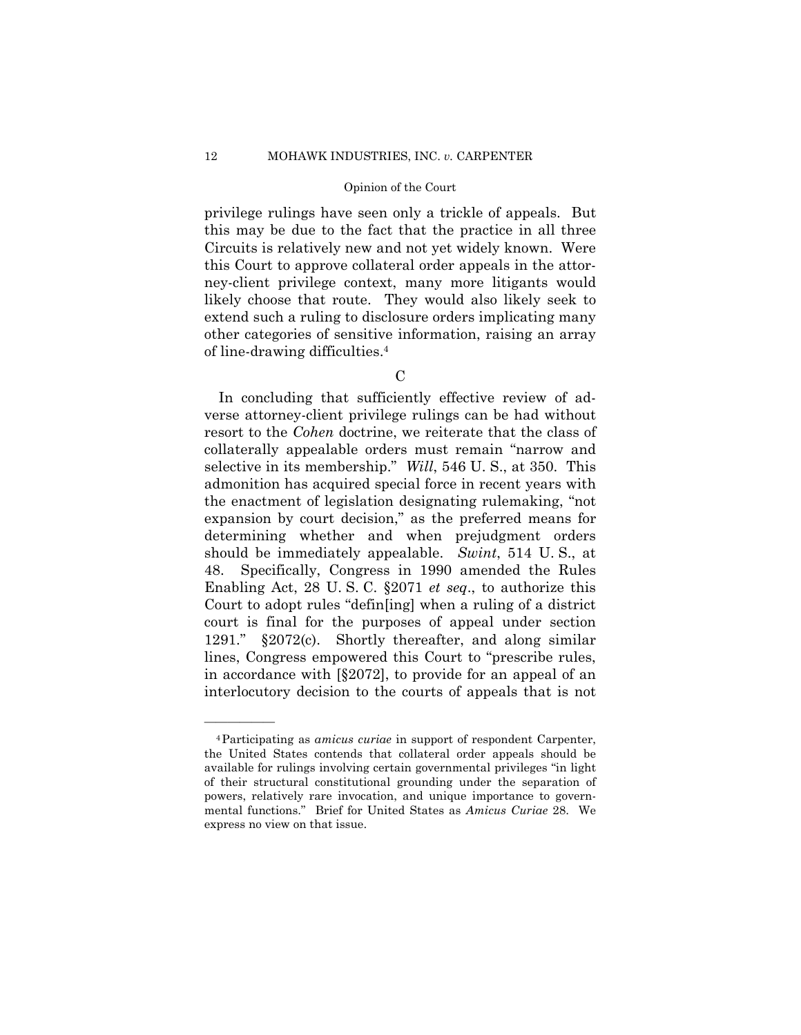privilege rulings have seen only a trickle of appeals. But this may be due to the fact that the practice in all three Circuits is relatively new and not yet widely known. Were this Court to approve collateral order appeals in the attorney-client privilege context, many more litigants would likely choose that route. They would also likely seek to extend such a ruling to disclosure orders implicating many other categories of sensitive information, raising an array of line-drawing difficulties.4

 $\mathcal{C}$ 

In concluding that sufficiently effective review of adverse attorney-client privilege rulings can be had without resort to the *Cohen* doctrine, we reiterate that the class of collaterally appealable orders must remain "narrow and selective in its membership." *Will*, 546 U. S., at 350. This admonition has acquired special force in recent years with the enactment of legislation designating rulemaking, "not expansion by court decision," as the preferred means for determining whether and when prejudgment orders should be immediately appealable. *Swint*, 514 U. S., at 48. Specifically, Congress in 1990 amended the Rules Enabling Act, 28 U. S. C. §2071 *et seq*., to authorize this Court to adopt rules "defin[ing] when a ruling of a district court is final for the purposes of appeal under section 1291." §2072(c). Shortly thereafter, and along similar lines, Congress empowered this Court to "prescribe rules, in accordance with [§2072], to provide for an appeal of an interlocutory decision to the courts of appeals that is not

<sup>4</sup>Participating as *amicus curiae* in support of respondent Carpenter, the United States contends that collateral order appeals should be available for rulings involving certain governmental privileges "in light of their structural constitutional grounding under the separation of powers, relatively rare invocation, and unique importance to governmental functions." Brief for United States as *Amicus Curiae* 28. We express no view on that issue.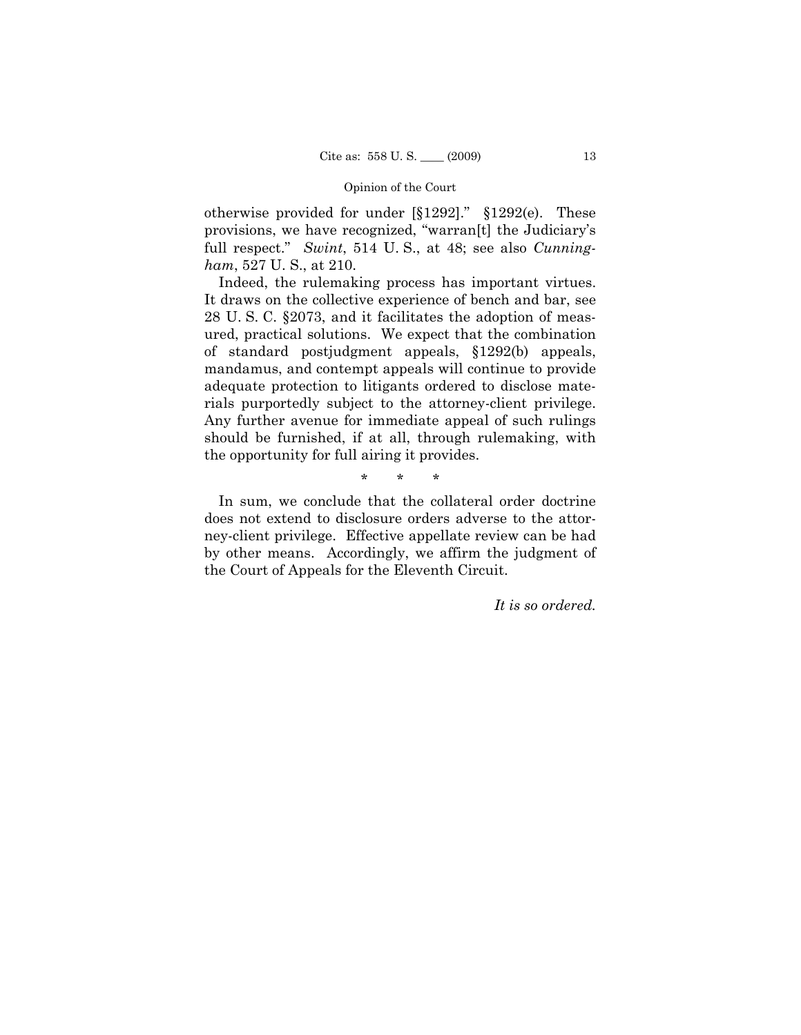otherwise provided for under [§1292]." §1292(e). These provisions, we have recognized, "warran[t] the Judiciary's full respect." *Swint*, 514 U. S., at 48; see also *Cunningham*, 527 U. S., at 210.

Indeed, the rulemaking process has important virtues. It draws on the collective experience of bench and bar, see 28 U. S. C. §2073, and it facilitates the adoption of measured, practical solutions. We expect that the combination of standard postjudgment appeals, §1292(b) appeals, mandamus, and contempt appeals will continue to provide adequate protection to litigants ordered to disclose materials purportedly subject to the attorney-client privilege. Any further avenue for immediate appeal of such rulings should be furnished, if at all, through rulemaking, with the opportunity for full airing it provides.

\* \* \*

In sum, we conclude that the collateral order doctrine does not extend to disclosure orders adverse to the attorney-client privilege. Effective appellate review can be had by other means. Accordingly, we affirm the judgment of the Court of Appeals for the Eleventh Circuit.

*It is so ordered.*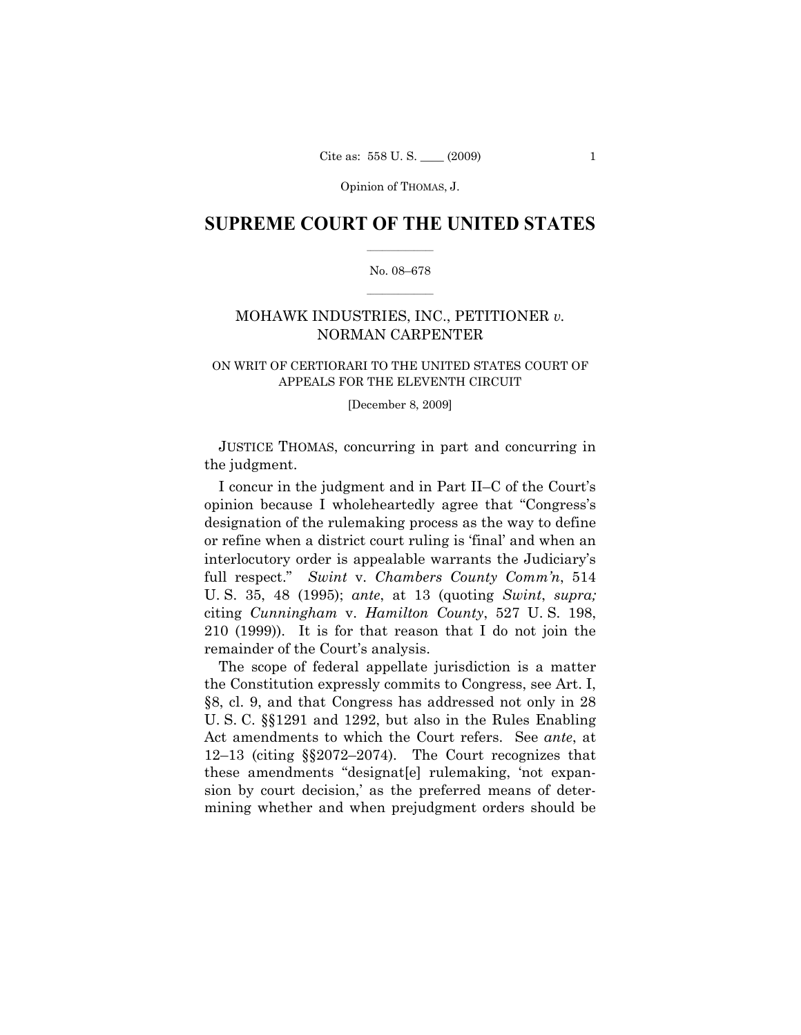# $\frac{1}{2}$  , where  $\frac{1}{2}$ **SUPREME COURT OF THE UNITED STATES**

# $\frac{1}{2}$  ,  $\frac{1}{2}$  ,  $\frac{1}{2}$  ,  $\frac{1}{2}$  ,  $\frac{1}{2}$  ,  $\frac{1}{2}$  ,  $\frac{1}{2}$ No. 08–678

# MOHAWK INDUSTRIES, INC., PETITIONER *v.* NORMAN CARPENTER

## ON WRIT OF CERTIORARI TO THE UNITED STATES COURT OF APPEALS FOR THE ELEVENTH CIRCUIT

[December 8, 2009]

JUSTICE THOMAS, concurring in part and concurring in the judgment.

I concur in the judgment and in Part II–C of the Court's opinion because I wholeheartedly agree that "Congress's designation of the rulemaking process as the way to define or refine when a district court ruling is 'final' and when an interlocutory order is appealable warrants the Judiciary's full respect." *Swint* v. *Chambers County Comm'n*, 514 U. S. 35, 48 (1995); *ante*, at 13 (quoting *Swint*, *supra;*  citing *Cunningham* v. *Hamilton County*, 527 U. S. 198, 210 (1999)). It is for that reason that I do not join the remainder of the Court's analysis.

The scope of federal appellate jurisdiction is a matter the Constitution expressly commits to Congress, see Art. I, §8, cl. 9, and that Congress has addressed not only in 28 U. S. C. §§1291 and 1292, but also in the Rules Enabling Act amendments to which the Court refers. See *ante*, at 12–13 (citing §§2072–2074). The Court recognizes that these amendments "designat[e] rulemaking, 'not expansion by court decision,' as the preferred means of determining whether and when prejudgment orders should be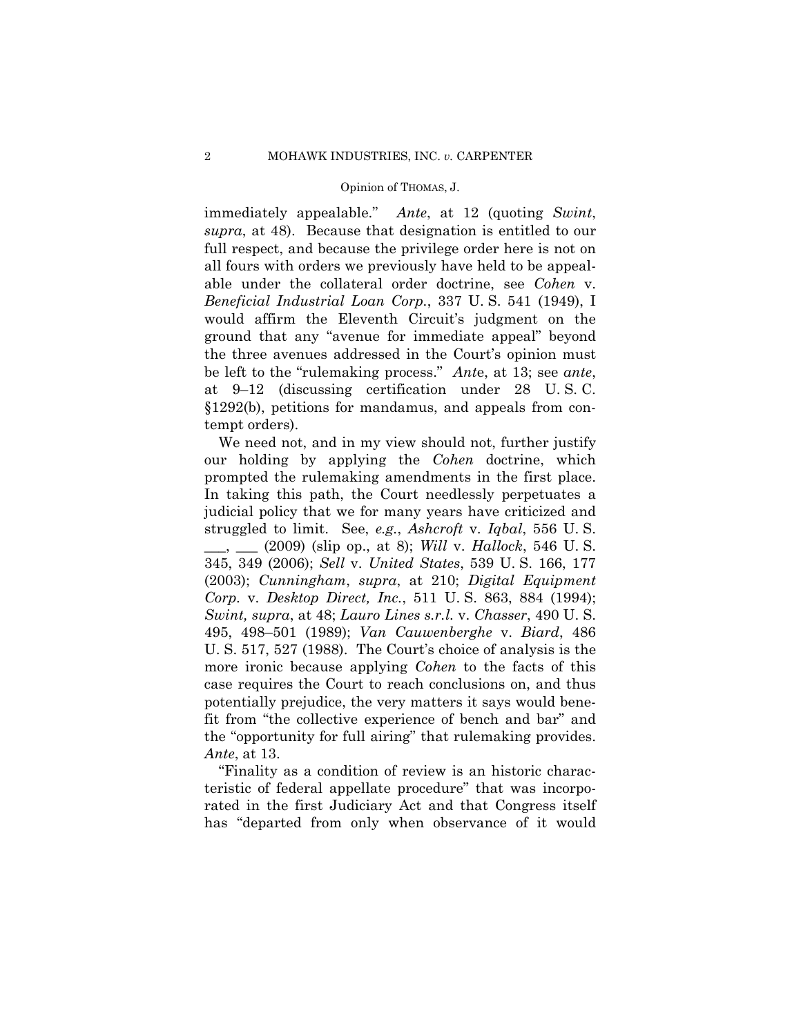immediately appealable." *Ante*, at 12 (quoting *Swint*, *supra*, at 48). Because that designation is entitled to our full respect, and because the privilege order here is not on all fours with orders we previously have held to be appealable under the collateral order doctrine, see *Cohen* v. *Beneficial Industrial Loan Corp.*, 337 U. S. 541 (1949), I would affirm the Eleventh Circuit's judgment on the ground that any "avenue for immediate appeal" beyond the three avenues addressed in the Court's opinion must be left to the "rulemaking process." *Ant*e, at 13; see *ante*, at 9–12 (discussing certification under 28 U. S. C. §1292(b), petitions for mandamus, and appeals from contempt orders).

We need not, and in my view should not, further justify our holding by applying the *Cohen* doctrine, which prompted the rulemaking amendments in the first place. In taking this path, the Court needlessly perpetuates a judicial policy that we for many years have criticized and struggled to limit. See, *e.g.*, *Ashcroft* v. *Iqbal*, 556 U. S. \_\_\_, \_\_\_ (2009) (slip op., at 8); *Will* v. *Hallock*, 546 U. S. 345, 349 (2006); *Sell* v. *United States*, 539 U. S. 166, 177 (2003); *Cunningham*, *supra*, at 210; *Digital Equipment Corp.* v. *Desktop Direct, Inc.*, 511 U. S. 863, 884 (1994); *Swint, supra*, at 48; *Lauro Lines s.r.l.* v. *Chasser*, 490 U. S. 495, 498–501 (1989); *Van Cauwenberghe* v. *Biard*, 486 U. S. 517, 527 (1988). The Court's choice of analysis is the more ironic because applying *Cohen* to the facts of this case requires the Court to reach conclusions on, and thus potentially prejudice, the very matters it says would benefit from "the collective experience of bench and bar" and the "opportunity for full airing" that rulemaking provides. *Ante*, at 13.

"Finality as a condition of review is an historic characteristic of federal appellate procedure" that was incorporated in the first Judiciary Act and that Congress itself has "departed from only when observance of it would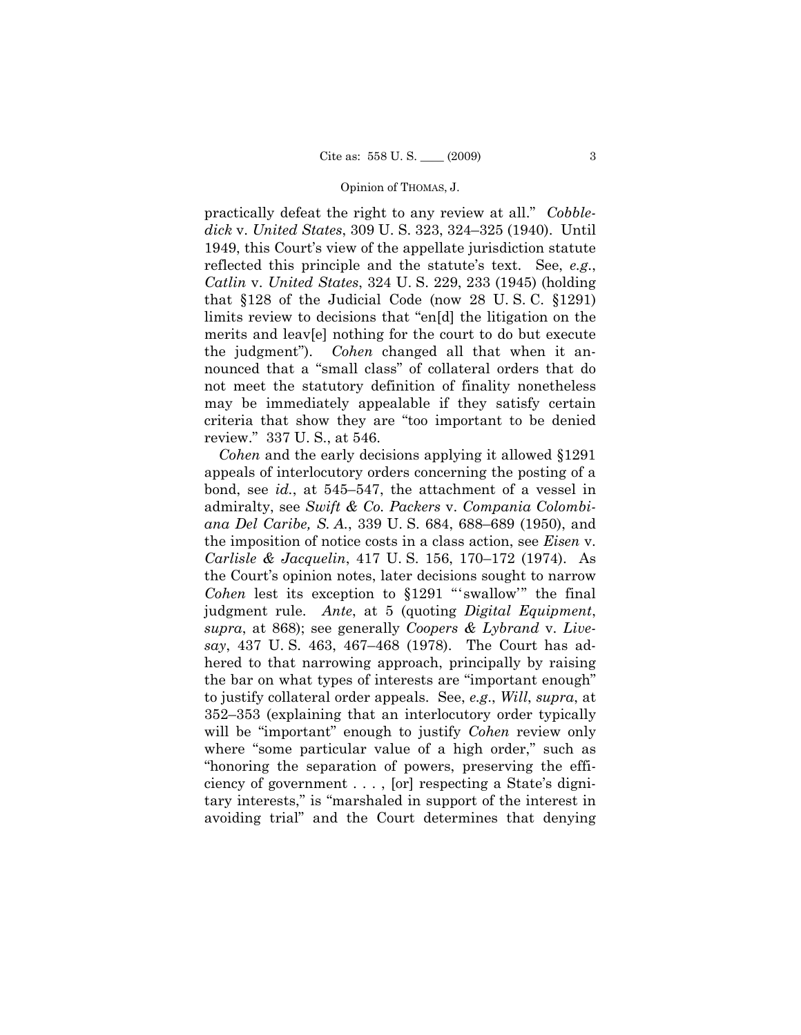practically defeat the right to any review at all." *Cobbledick* v. *United States*, 309 U. S. 323, 324–325 (1940). Until 1949, this Court's view of the appellate jurisdiction statute reflected this principle and the statute's text. See, *e.g*., *Catlin* v. *United States*, 324 U. S. 229, 233 (1945) (holding that §128 of the Judicial Code (now 28 U. S. C. §1291) limits review to decisions that "en[d] the litigation on the merits and leav[e] nothing for the court to do but execute the judgment"). *Cohen* changed all that when it announced that a "small class" of collateral orders that do not meet the statutory definition of finality nonetheless may be immediately appealable if they satisfy certain criteria that show they are "too important to be denied review." 337 U. S., at 546.

*Cohen* and the early decisions applying it allowed §1291 appeals of interlocutory orders concerning the posting of a bond, see *id.*, at 545–547, the attachment of a vessel in admiralty, see *Swift & Co. Packers* v. *Compania Colombiana Del Caribe, S. A.*, 339 U. S. 684, 688–689 (1950), and the imposition of notice costs in a class action, see *Eisen* v. *Carlisle & Jacquelin*, 417 U. S. 156, 170–172 (1974). As the Court's opinion notes, later decisions sought to narrow *Cohen* lest its exception to §1291 "'swallow'" the final judgment rule. *Ante*, at 5 (quoting *Digital Equipment*, *supra*, at 868); see generally *Coopers & Lybrand* v. *Livesay*, 437 U. S. 463, 467–468 (1978). The Court has adhered to that narrowing approach, principally by raising the bar on what types of interests are "important enough" to justify collateral order appeals. See, *e.g*., *Will*, *supra*, at 352–353 (explaining that an interlocutory order typically will be "important" enough to justify *Cohen* review only where "some particular value of a high order," such as "honoring the separation of powers, preserving the efficiency of government . . . , [or] respecting a State's dignitary interests," is "marshaled in support of the interest in avoiding trial" and the Court determines that denying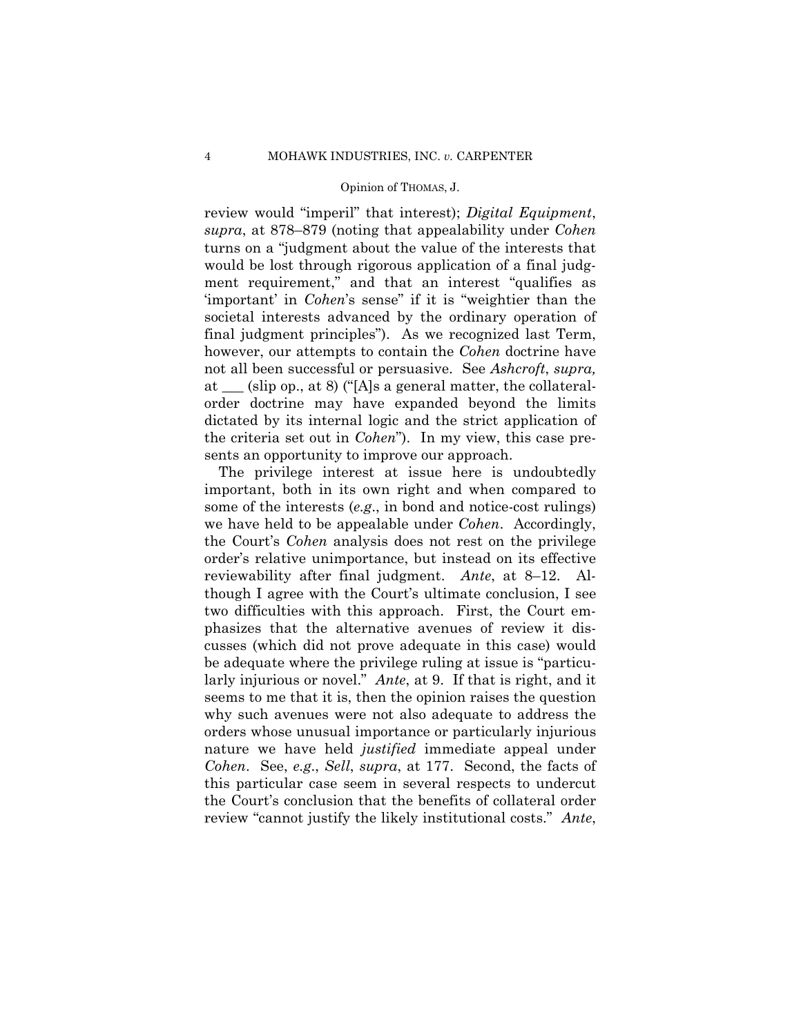review would "imperil" that interest); *Digital Equipment*, *supra*, at 878–879 (noting that appealability under *Cohen*  turns on a "judgment about the value of the interests that would be lost through rigorous application of a final judgment requirement," and that an interest "qualifies as 'important' in *Cohen*'s sense" if it is "weightier than the societal interests advanced by the ordinary operation of final judgment principles"). As we recognized last Term, however, our attempts to contain the *Cohen* doctrine have not all been successful or persuasive. See *Ashcroft*, *supra,* at \_\_\_ (slip op., at 8) ("[A]s a general matter, the collateralorder doctrine may have expanded beyond the limits dictated by its internal logic and the strict application of the criteria set out in *Cohen*"). In my view, this case presents an opportunity to improve our approach.

The privilege interest at issue here is undoubtedly important, both in its own right and when compared to some of the interests (*e.g*., in bond and notice-cost rulings) we have held to be appealable under *Cohen*. Accordingly, the Court's *Cohen* analysis does not rest on the privilege order's relative unimportance, but instead on its effective reviewability after final judgment. *Ante*, at 8–12. Although I agree with the Court's ultimate conclusion, I see two difficulties with this approach. First, the Court emphasizes that the alternative avenues of review it discusses (which did not prove adequate in this case) would be adequate where the privilege ruling at issue is "particularly injurious or novel." *Ante*, at 9. If that is right, and it seems to me that it is, then the opinion raises the question why such avenues were not also adequate to address the orders whose unusual importance or particularly injurious nature we have held *justified* immediate appeal under *Cohen*. See, *e.g*., *Sell*, *supra*, at 177. Second, the facts of this particular case seem in several respects to undercut the Court's conclusion that the benefits of collateral order review "cannot justify the likely institutional costs." *Ante*,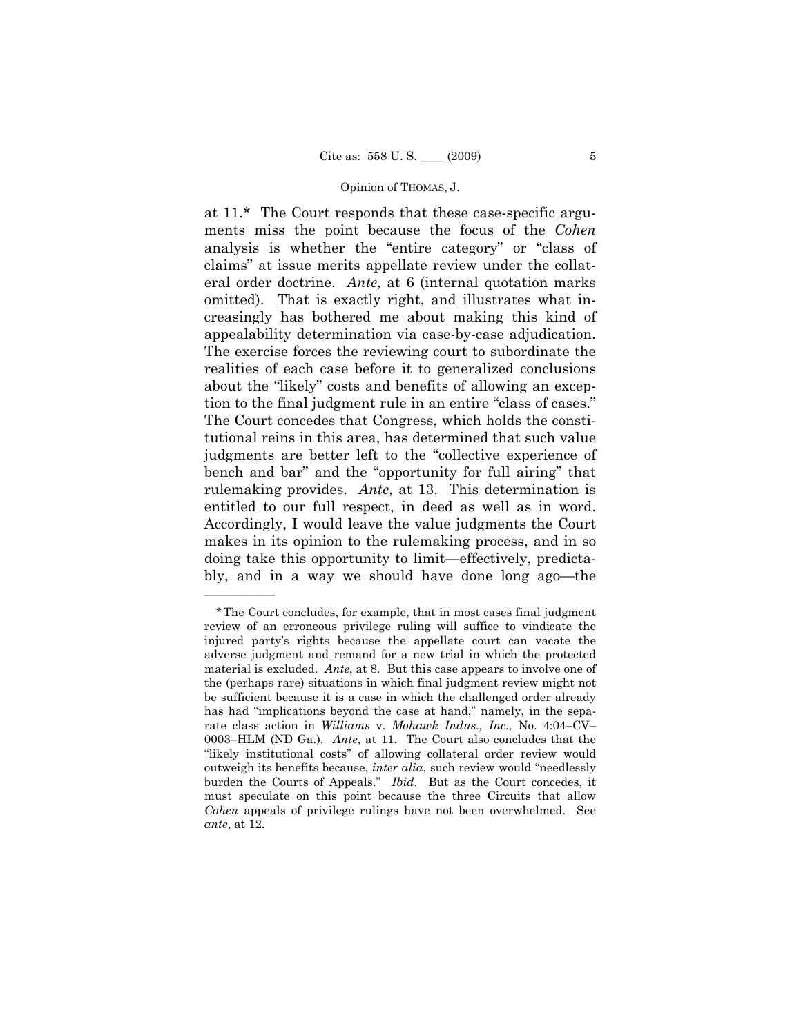at 11.\* The Court responds that these case-specific arguments miss the point because the focus of the *Cohen*  analysis is whether the "entire category" or "class of claims" at issue merits appellate review under the collateral order doctrine. *Ante*, at 6 (internal quotation marks omitted). That is exactly right, and illustrates what increasingly has bothered me about making this kind of appealability determination via case-by-case adjudication. The exercise forces the reviewing court to subordinate the realities of each case before it to generalized conclusions about the "likely" costs and benefits of allowing an exception to the final judgment rule in an entire "class of cases." The Court concedes that Congress, which holds the constitutional reins in this area, has determined that such value judgments are better left to the "collective experience of bench and bar" and the "opportunity for full airing" that rulemaking provides. *Ante*, at 13. This determination is entitled to our full respect, in deed as well as in word. Accordingly, I would leave the value judgments the Court makes in its opinion to the rulemaking process, and in so doing take this opportunity to limit—effectively, predictably, and in a way we should have done long ago—the

<sup>\*</sup>The Court concludes, for example, that in most cases final judgment review of an erroneous privilege ruling will suffice to vindicate the injured party's rights because the appellate court can vacate the adverse judgment and remand for a new trial in which the protected material is excluded. *Ante*, at 8. But this case appears to involve one of the (perhaps rare) situations in which final judgment review might not be sufficient because it is a case in which the challenged order already has had "implications beyond the case at hand," namely, in the separate class action in *Williams* v. *Mohawk Indus., Inc.,* No. 4:04–CV– 0003–HLM (ND Ga.). *Ante*, at 11. The Court also concludes that the "likely institutional costs" of allowing collateral order review would outweigh its benefits because, *inter alia*, such review would "needlessly burden the Courts of Appeals." *Ibid*. But as the Court concedes, it must speculate on this point because the three Circuits that allow *Cohen* appeals of privilege rulings have not been overwhelmed. See *ante*, at 12.